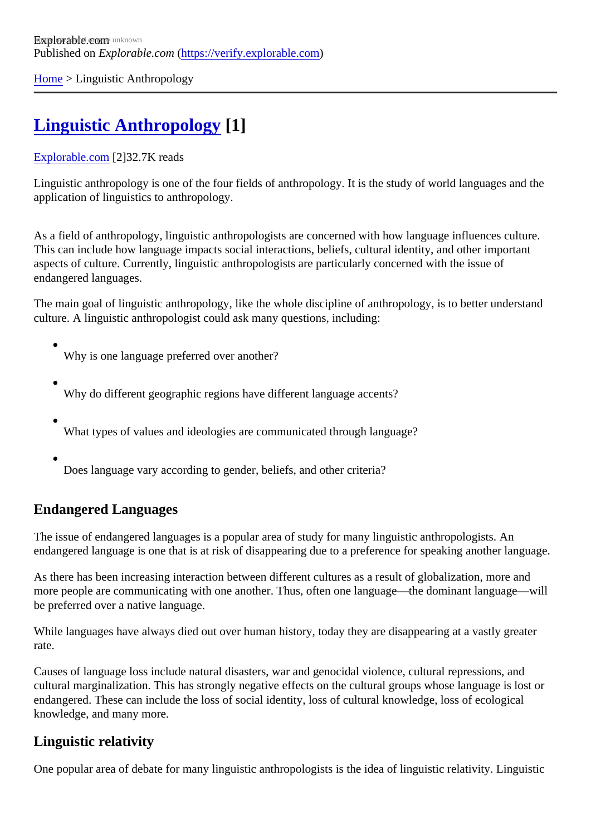[Home](https://verify.explorable.com/) > Linguistic Anthropology

# [Linguistic Anthropology](https://verify.explorable.com/linguistic-anthropology) [1]

#### [Explorable.com](https://verify.explorable.com/)[2]32.7K reads

Linguistic anthropology is one of the four fields of anthropology. It is the study of world languages and the application of linguistics to anthropology.

As a field of anthropology, linguistic anthropologists are concerned with how language influences culture. This can include how language impacts social interactions, beliefs, cultural identity, and other important aspects of culture. Currently, linguistic anthropologists are particularly concerned with the issue of endangered languages.

The main goal of linguistic anthropology, like the whole discipline of anthropology, is to better understand culture. A linguistic anthropologist could ask many questions, including:

Why is one language preferred over another?

- Why do different geographic regions have different language accents?
- What types of values and ideologies are communicated through language?
- Does language vary according to gender, beliefs, and other criteria?

## Endangered Languages

The issue of endangered languages is a popular area of study for many linguistic anthropologists. An endangered language is one that is at risk of disappearing due to a preference for speaking another langu

As there has been increasing interaction between different cultures as a result of globalization, more and more people are communicating with one another. Thus, often one language—the dominant language—w be preferred over a native language.

While languages have always died out over human history, today they are disappearing at a vastly greater rate.

Causes of language loss include natural disasters, war and genocidal violence, cultural repressions, and cultural marginalization. This has strongly negative effects on the cultural groups whose language is lost or endangered. These can include the loss of social identity, loss of cultural knowledge, loss of ecological knowledge, and many more.

### Linguistic relativity

One popular area of debate for many linguistic anthropologists is the idea of linguistic relativity. Linguistic